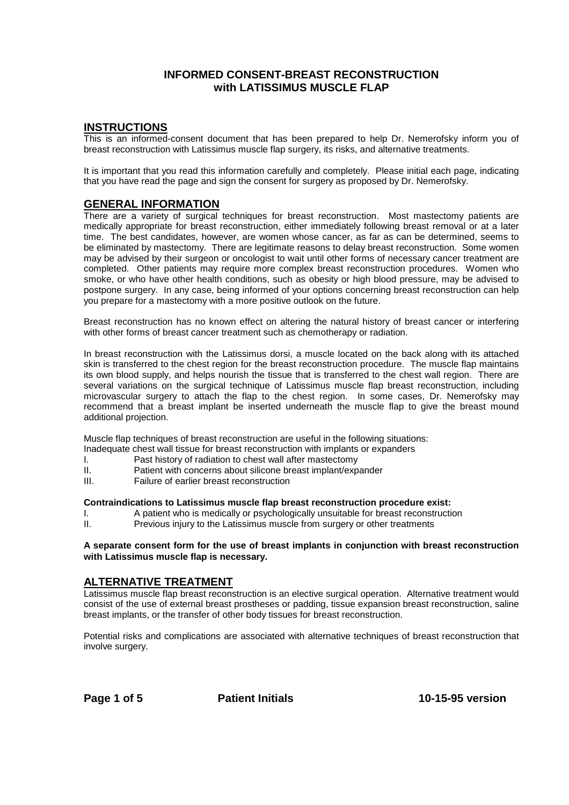# **INFORMED CONSENT-BREAST RECONSTRUCTION with LATISSIMUS MUSCLE FLAP**

## **INSTRUCTIONS**

This is an informed-consent document that has been prepared to help Dr. Nemerofsky inform you of breast reconstruction with Latissimus muscle flap surgery, its risks, and alternative treatments.

It is important that you read this information carefully and completely. Please initial each page, indicating that you have read the page and sign the consent for surgery as proposed by Dr. Nemerofsky.

## **GENERAL INFORMATION**

There are a variety of surgical techniques for breast reconstruction. Most mastectomy patients are medically appropriate for breast reconstruction, either immediately following breast removal or at a later time. The best candidates, however, are women whose cancer, as far as can be determined, seems to be eliminated by mastectomy. There are legitimate reasons to delay breast reconstruction. Some women may be advised by their surgeon or oncologist to wait until other forms of necessary cancer treatment are completed. Other patients may require more complex breast reconstruction procedures. Women who smoke, or who have other health conditions, such as obesity or high blood pressure, may be advised to postpone surgery. In any case, being informed of your options concerning breast reconstruction can help you prepare for a mastectomy with a more positive outlook on the future.

Breast reconstruction has no known effect on altering the natural history of breast cancer or interfering with other forms of breast cancer treatment such as chemotherapy or radiation.

In breast reconstruction with the Latissimus dorsi, a muscle located on the back along with its attached skin is transferred to the chest region for the breast reconstruction procedure. The muscle flap maintains its own blood supply, and helps nourish the tissue that is transferred to the chest wall region. There are several variations on the surgical technique of Latissimus muscle flap breast reconstruction, including microvascular surgery to attach the flap to the chest region. In some cases, Dr. Nemerofsky may recommend that a breast implant be inserted underneath the muscle flap to give the breast mound additional projection.

Muscle flap techniques of breast reconstruction are useful in the following situations:

- Inadequate chest wall tissue for breast reconstruction with implants or expanders
- I. Past history of radiation to chest wall after mastectomy
- II. Patient with concerns about silicone breast implant/expander
- III. Failure of earlier breast reconstruction

#### **Contraindications to Latissimus muscle flap breast reconstruction procedure exist:**

- I. A patient who is medically or psychologically unsuitable for breast reconstruction
- II. Previous injury to the Latissimus muscle from surgery or other treatments

#### **A separate consent form for the use of breast implants in conjunction with breast reconstruction with Latissimus muscle flap is necessary.**

## **ALTERNATIVE TREATMENT**

Latissimus muscle flap breast reconstruction is an elective surgical operation. Alternative treatment would consist of the use of external breast prostheses or padding, tissue expansion breast reconstruction, saline breast implants, or the transfer of other body tissues for breast reconstruction.

Potential risks and complications are associated with alternative techniques of breast reconstruction that involve surgery.

Page 1 of 5 **Patient Initials** 10-15-95 version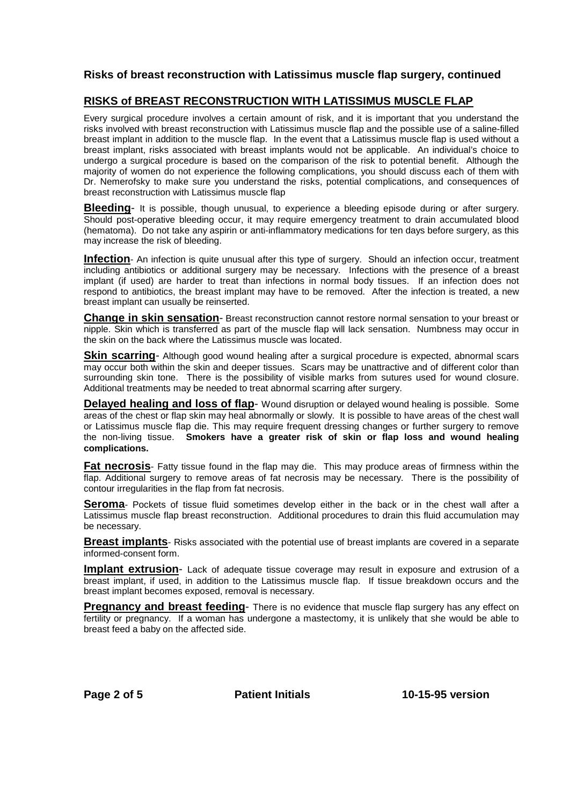## **Risks of breast reconstruction with Latissimus muscle flap surgery, continued**

## **RISKS of BREAST RECONSTRUCTION WITH LATISSIMUS MUSCLE FLAP**

Every surgical procedure involves a certain amount of risk, and it is important that you understand the risks involved with breast reconstruction with Latissimus muscle flap and the possible use of a saline-filled breast implant in addition to the muscle flap. In the event that a Latissimus muscle flap is used without a breast implant, risks associated with breast implants would not be applicable. An individual's choice to undergo a surgical procedure is based on the comparison of the risk to potential benefit. Although the majority of women do not experience the following complications, you should discuss each of them with Dr. Nemerofsky to make sure you understand the risks, potential complications, and consequences of breast reconstruction with Latissimus muscle flap

**Bleeding-** It is possible, though unusual, to experience a bleeding episode during or after surgery. Should post-operative bleeding occur, it may require emergency treatment to drain accumulated blood (hematoma). Do not take any aspirin or anti-inflammatory medications for ten days before surgery, as this may increase the risk of bleeding.

**Infection**- An infection is quite unusual after this type of surgery. Should an infection occur, treatment including antibiotics or additional surgery may be necessary. Infections with the presence of a breast implant (if used) are harder to treat than infections in normal body tissues. If an infection does not respond to antibiotics, the breast implant may have to be removed. After the infection is treated, a new breast implant can usually be reinserted.

**Change in skin sensation**- Breast reconstruction cannot restore normal sensation to your breast or nipple. Skin which is transferred as part of the muscle flap will lack sensation. Numbness may occur in the skin on the back where the Latissimus muscle was located.

**Skin scarring**- Although good wound healing after a surgical procedure is expected, abnormal scars may occur both within the skin and deeper tissues. Scars may be unattractive and of different color than surrounding skin tone. There is the possibility of visible marks from sutures used for wound closure. Additional treatments may be needed to treat abnormal scarring after surgery.

**Delayed healing and loss of flap-** Wound disruption or delayed wound healing is possible. Some areas of the chest or flap skin may heal abnormally or slowly. It is possible to have areas of the chest wall or Latissimus muscle flap die. This may require frequent dressing changes or further surgery to remove the non-living tissue. **Smokers have a greater risk of skin or flap loss and wound healing complications.**

**Fat necrosis**- Fatty tissue found in the flap may die. This may produce areas of firmness within the flap. Additional surgery to remove areas of fat necrosis may be necessary. There is the possibility of contour irregularities in the flap from fat necrosis.

**Seroma**- Pockets of tissue fluid sometimes develop either in the back or in the chest wall after a Latissimus muscle flap breast reconstruction. Additional procedures to drain this fluid accumulation may be necessary.

**Breast implants**- Risks associated with the potential use of breast implants are covered in a separate informed-consent form.

**Implant extrusion**- Lack of adequate tissue coverage may result in exposure and extrusion of a breast implant, if used, in addition to the Latissimus muscle flap. If tissue breakdown occurs and the breast implant becomes exposed, removal is necessary.

**Pregnancy and breast feeding-** There is no evidence that muscle flap surgery has any effect on fertility or pregnancy. If a woman has undergone a mastectomy, it is unlikely that she would be able to breast feed a baby on the affected side.

Page 2 of 5 **Patient Initials** 10-15-95 version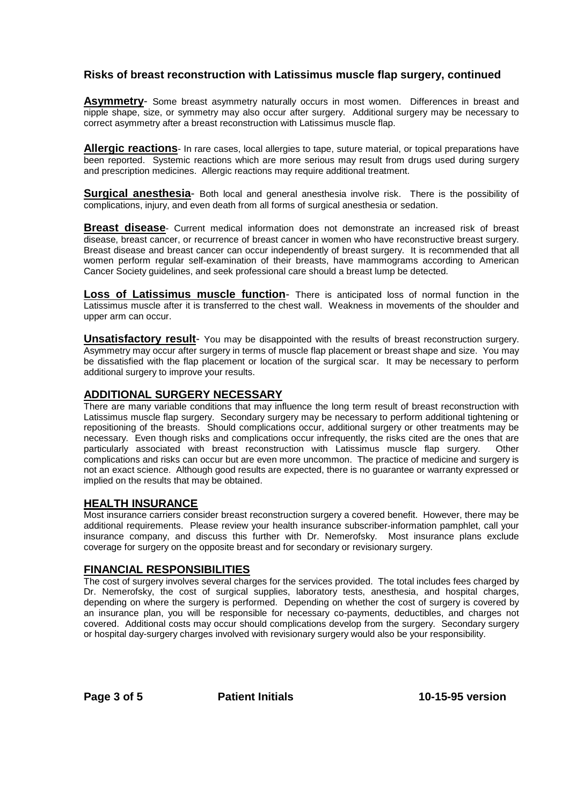# **Risks of breast reconstruction with Latissimus muscle flap surgery, continued**

**Asymmetry**- Some breast asymmetry naturally occurs in most women. Differences in breast and nipple shape, size, or symmetry may also occur after surgery. Additional surgery may be necessary to correct asymmetry after a breast reconstruction with Latissimus muscle flap.

**Allergic reactions**- In rare cases, local allergies to tape, suture material, or topical preparations have been reported. Systemic reactions which are more serious may result from drugs used during surgery and prescription medicines. Allergic reactions may require additional treatment.

**Surgical anesthesia-** Both local and general anesthesia involve risk. There is the possibility of complications, injury, and even death from all forms of surgical anesthesia or sedation.

**Breast disease**- Current medical information does not demonstrate an increased risk of breast disease, breast cancer, or recurrence of breast cancer in women who have reconstructive breast surgery. Breast disease and breast cancer can occur independently of breast surgery. It is recommended that all women perform regular self-examination of their breasts, have mammograms according to American Cancer Society guidelines, and seek professional care should a breast lump be detected.

**Loss of Latissimus muscle function**- There is anticipated loss of normal function in the Latissimus muscle after it is transferred to the chest wall. Weakness in movements of the shoulder and upper arm can occur.

**Unsatisfactory result**- You may be disappointed with the results of breast reconstruction surgery. Asymmetry may occur after surgery in terms of muscle flap placement or breast shape and size. You may be dissatisfied with the flap placement or location of the surgical scar. It may be necessary to perform additional surgery to improve your results.

## **ADDITIONAL SURGERY NECESSARY**

There are many variable conditions that may influence the long term result of breast reconstruction with Latissimus muscle flap surgery. Secondary surgery may be necessary to perform additional tightening or repositioning of the breasts. Should complications occur, additional surgery or other treatments may be necessary. Even though risks and complications occur infrequently, the risks cited are the ones that are particularly associated with breast reconstruction with Latissimus muscle flap surgery. Other complications and risks can occur but are even more uncommon. The practice of medicine and surgery is not an exact science. Although good results are expected, there is no guarantee or warranty expressed or implied on the results that may be obtained.

## **HEALTH INSURANCE**

Most insurance carriers consider breast reconstruction surgery a covered benefit. However, there may be additional requirements. Please review your health insurance subscriber-information pamphlet, call your insurance company, and discuss this further with Dr. Nemerofsky. Most insurance plans exclude coverage for surgery on the opposite breast and for secondary or revisionary surgery.

## **FINANCIAL RESPONSIBILITIES**

The cost of surgery involves several charges for the services provided. The total includes fees charged by Dr. Nemerofsky, the cost of surgical supplies, laboratory tests, anesthesia, and hospital charges, depending on where the surgery is performed. Depending on whether the cost of surgery is covered by an insurance plan, you will be responsible for necessary co-payments, deductibles, and charges not covered. Additional costs may occur should complications develop from the surgery. Secondary surgery or hospital day-surgery charges involved with revisionary surgery would also be your responsibility.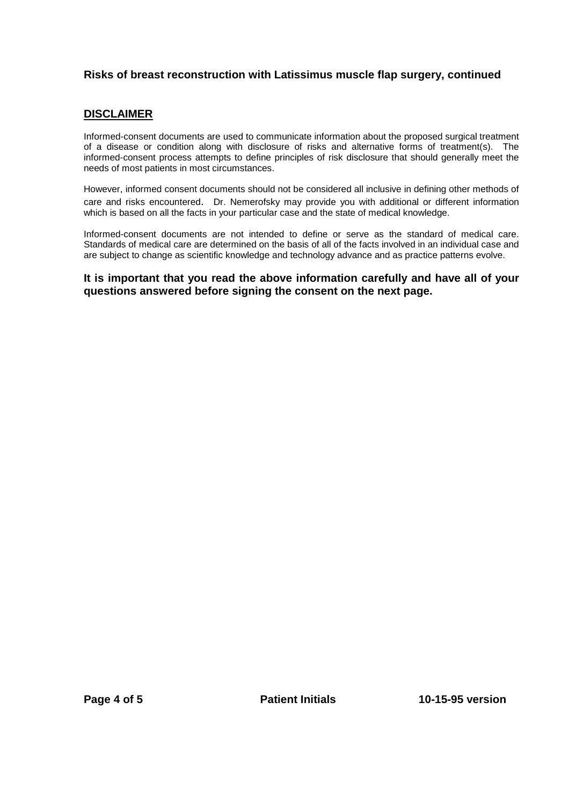# **Risks of breast reconstruction with Latissimus muscle flap surgery, continued**

# **DISCLAIMER**

Informed-consent documents are used to communicate information about the proposed surgical treatment of a disease or condition along with disclosure of risks and alternative forms of treatment(s). The informed-consent process attempts to define principles of risk disclosure that should generally meet the needs of most patients in most circumstances.

However, informed consent documents should not be considered all inclusive in defining other methods of care and risks encountered. Dr. Nemerofsky may provide you with additional or different information which is based on all the facts in your particular case and the state of medical knowledge.

Informed-consent documents are not intended to define or serve as the standard of medical care. Standards of medical care are determined on the basis of all of the facts involved in an individual case and are subject to change as scientific knowledge and technology advance and as practice patterns evolve.

# **It is important that you read the above information carefully and have all of your questions answered before signing the consent on the next page.**